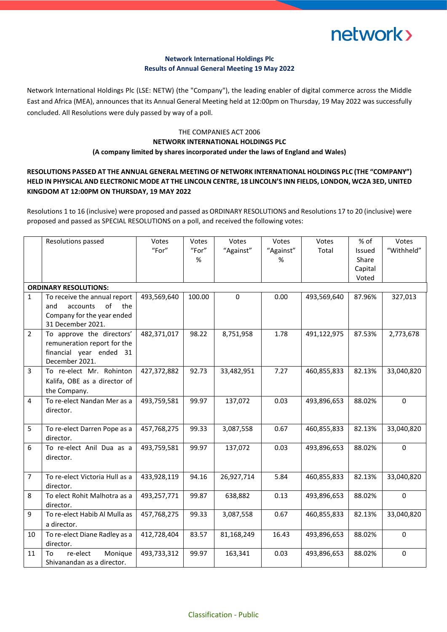# network>

### **Network International Holdings Plc Results of Annual General Meeting 19 May 2022**

Network International Holdings Plc (LSE: NETW) (the "Company"), the leading enabler of digital commerce across the Middle East and Africa (MEA), announces that its Annual General Meeting held at 12:00pm on Thursday, 19 May 2022 was successfully concluded. All Resolutions were duly passed by way of a poll.

### THE COMPANIES ACT 2006 **NETWORK INTERNATIONAL HOLDINGS PLC (A company limited by shares incorporated under the laws of England and Wales)**

## **RESOLUTIONS PASSED AT THE ANNUAL GENERAL MEETING OF NETWORK INTERNATIONAL HOLDINGS PLC (THE "COMPANY") HELD IN PHYSICAL AND ELECTRONIC MODE AT THE LINCOLN CENTRE, 18 LINCOLN'S INN FIELDS, LONDON, WC2A 3ED, UNITED KINGDOM AT 12:00PM ON THURSDAY, 19 MAY 2022**

Resolutions 1 to 16 (inclusive) were proposed and passed as ORDINARY RESOLUTIONS and Resolutions 17 to 20 (inclusive) were proposed and passed as SPECIAL RESOLUTIONS on a poll, and received the following votes:

|                              | Resolutions passed                                       | Votes       | Votes  | Votes      | Votes     | Votes       | % of    | Votes       |  |  |  |
|------------------------------|----------------------------------------------------------|-------------|--------|------------|-----------|-------------|---------|-------------|--|--|--|
|                              |                                                          | "For"       | "For"  | "Against"  | "Against" | Total       | Issued  | "Withheld"  |  |  |  |
|                              |                                                          |             | %      |            | %         |             | Share   |             |  |  |  |
|                              |                                                          |             |        |            |           |             | Capital |             |  |  |  |
|                              |                                                          |             |        |            |           |             | Voted   |             |  |  |  |
| <b>ORDINARY RESOLUTIONS:</b> |                                                          |             |        |            |           |             |         |             |  |  |  |
| $\mathbf{1}$                 | To receive the annual report                             | 493,569,640 | 100.00 | $\Omega$   | 0.00      | 493,569,640 | 87.96%  | 327,013     |  |  |  |
|                              | accounts<br>of<br>and<br>the                             |             |        |            |           |             |         |             |  |  |  |
|                              | Company for the year ended                               |             |        |            |           |             |         |             |  |  |  |
|                              | 31 December 2021.                                        |             |        |            |           |             |         |             |  |  |  |
| $\overline{2}$               | To approve the directors'<br>remuneration report for the | 482,371,017 | 98.22  | 8,751,958  | 1.78      | 491,122,975 | 87.53%  | 2,773,678   |  |  |  |
|                              | financial year ended 31                                  |             |        |            |           |             |         |             |  |  |  |
|                              | December 2021.                                           |             |        |            |           |             |         |             |  |  |  |
| 3                            | To re-elect Mr. Rohinton                                 | 427,372,882 | 92.73  | 33,482,951 | 7.27      | 460,855,833 | 82.13%  | 33,040,820  |  |  |  |
|                              | Kalifa, OBE as a director of                             |             |        |            |           |             |         |             |  |  |  |
|                              | the Company.                                             |             |        |            |           |             |         |             |  |  |  |
| 4                            | To re-elect Nandan Mer as a                              | 493,759,581 | 99.97  | 137,072    | 0.03      | 493,896,653 | 88.02%  | $\Omega$    |  |  |  |
|                              | director.                                                |             |        |            |           |             |         |             |  |  |  |
|                              |                                                          |             |        |            |           |             |         |             |  |  |  |
| 5                            | To re-elect Darren Pope as a                             | 457,768,275 | 99.33  | 3,087,558  | 0.67      | 460,855,833 | 82.13%  | 33,040,820  |  |  |  |
|                              | director.                                                |             |        |            |           |             |         |             |  |  |  |
| 6                            | To re-elect Anil Dua as a                                | 493,759,581 | 99.97  | 137,072    | 0.03      | 493,896,653 | 88.02%  | $\mathbf 0$ |  |  |  |
|                              | director.                                                |             |        |            |           |             |         |             |  |  |  |
|                              |                                                          |             |        |            |           |             |         |             |  |  |  |
| $\overline{7}$               | To re-elect Victoria Hull as a                           | 433,928,119 | 94.16  | 26,927,714 | 5.84      | 460,855,833 | 82.13%  | 33,040,820  |  |  |  |
|                              | director.                                                |             |        |            |           |             |         |             |  |  |  |
| 8                            | To elect Rohit Malhotra as a<br>director.                | 493,257,771 | 99.87  | 638,882    | 0.13      | 493,896,653 | 88.02%  | $\mathbf 0$ |  |  |  |
| 9                            | To re-elect Habib Al Mulla as                            | 457,768,275 | 99.33  | 3,087,558  | 0.67      | 460,855,833 | 82.13%  | 33,040,820  |  |  |  |
|                              | a director.                                              |             |        |            |           |             |         |             |  |  |  |
| 10                           | To re-elect Diane Radley as a                            | 412,728,404 | 83.57  | 81,168,249 | 16.43     | 493,896,653 | 88.02%  | $\Omega$    |  |  |  |
|                              | director.                                                |             |        |            |           |             |         |             |  |  |  |
| 11                           | re-elect<br>Monique<br>To                                | 493,733,312 | 99.97  | 163,341    | 0.03      | 493,896,653 | 88.02%  | 0           |  |  |  |
|                              | Shivanandan as a director.                               |             |        |            |           |             |         |             |  |  |  |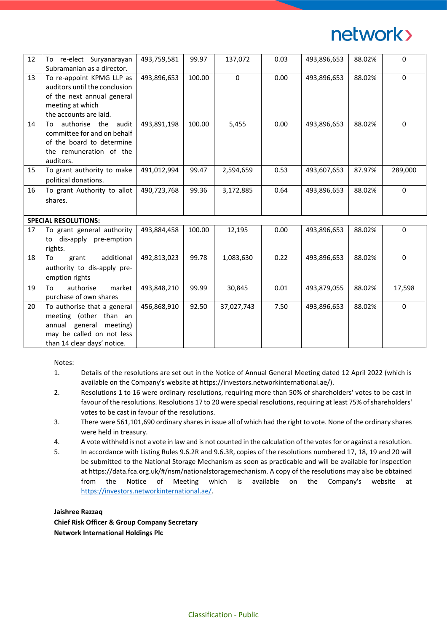# network>

| 12                          | To re-elect Suryanarayan<br>Subramanian as a director.                                                                                          | 493,759,581 | 99.97  | 137,072    | 0.03 | 493,896,653 | 88.02% | 0        |  |  |
|-----------------------------|-------------------------------------------------------------------------------------------------------------------------------------------------|-------------|--------|------------|------|-------------|--------|----------|--|--|
| 13                          | To re-appoint KPMG LLP as<br>auditors until the conclusion<br>of the next annual general<br>meeting at which<br>the accounts are laid.          | 493,896,653 | 100.00 | 0          | 0.00 | 493,896,653 | 88.02% | 0        |  |  |
| 14                          | authorise the audit<br>To<br>committee for and on behalf<br>of the board to determine<br>the remuneration of the<br>auditors.                   | 493,891,198 | 100.00 | 5,455      | 0.00 | 493,896,653 | 88.02% | 0        |  |  |
| 15                          | To grant authority to make<br>political donations.                                                                                              | 491,012,994 | 99.47  | 2,594,659  | 0.53 | 493,607,653 | 87.97% | 289,000  |  |  |
| 16                          | To grant Authority to allot<br>shares.                                                                                                          | 490,723,768 | 99.36  | 3,172,885  | 0.64 | 493,896,653 | 88.02% | $\Omega$ |  |  |
| <b>SPECIAL RESOLUTIONS:</b> |                                                                                                                                                 |             |        |            |      |             |        |          |  |  |
| 17                          | To grant general authority<br>to dis-apply pre-emption<br>rights.                                                                               | 493,884,458 | 100.00 | 12,195     | 0.00 | 493,896,653 | 88.02% | $\Omega$ |  |  |
| 18                          | additional<br>To<br>grant<br>authority to dis-apply pre-<br>emption rights                                                                      | 492,813,023 | 99.78  | 1,083,630  | 0.22 | 493,896,653 | 88.02% | $\Omega$ |  |  |
| 19                          | authorise<br>To<br>market<br>purchase of own shares                                                                                             | 493,848,210 | 99.99  | 30,845     | 0.01 | 493,879,055 | 88.02% | 17,598   |  |  |
| 20                          | To authorise that a general<br>meeting (other than an<br>annual general<br>meeting)<br>may be called on not less<br>than 14 clear days' notice. | 456,868,910 | 92.50  | 37,027,743 | 7.50 | 493,896,653 | 88.02% | 0        |  |  |

Notes:

- 1. Details of the resolutions are set out in the Notice of Annual General Meeting dated 12 April 2022 (which is available on the Company's website at https://investors.networkinternational.ae/).
- 2. Resolutions 1 to 16 were ordinary resolutions, requiring more than 50% of shareholders' votes to be cast in favour of the resolutions. Resolutions 17 to 20 were special resolutions, requiring at least 75% of shareholders' votes to be cast in favour of the resolutions.
- 3. There were 561,101,690 ordinary shares in issue all of which had the right to vote. None of the ordinary shares were held in treasury.
- 4. A vote withheld is not a vote in law and is not counted in the calculation of the votes for or against a resolution.
- 5. In accordance with Listing Rules 9.6.2R and 9.6.3R, copies of the resolutions numbered 17, 18, 19 and 20 will be submitted to the National Storage Mechanism as soon as practicable and will be available for inspection at https://data.fca.org.uk/#/nsm/nationalstoragemechanism. A copy of the resolutions may also be obtained from the Notice of Meeting which is available on the Company's website at [https://investors.networkinternational.ae/.](https://investors.networkinternational.ae/)

#### **Jaishree Razzaq**

**Chief Risk Officer & Group Company Secretary Network International Holdings Plc**